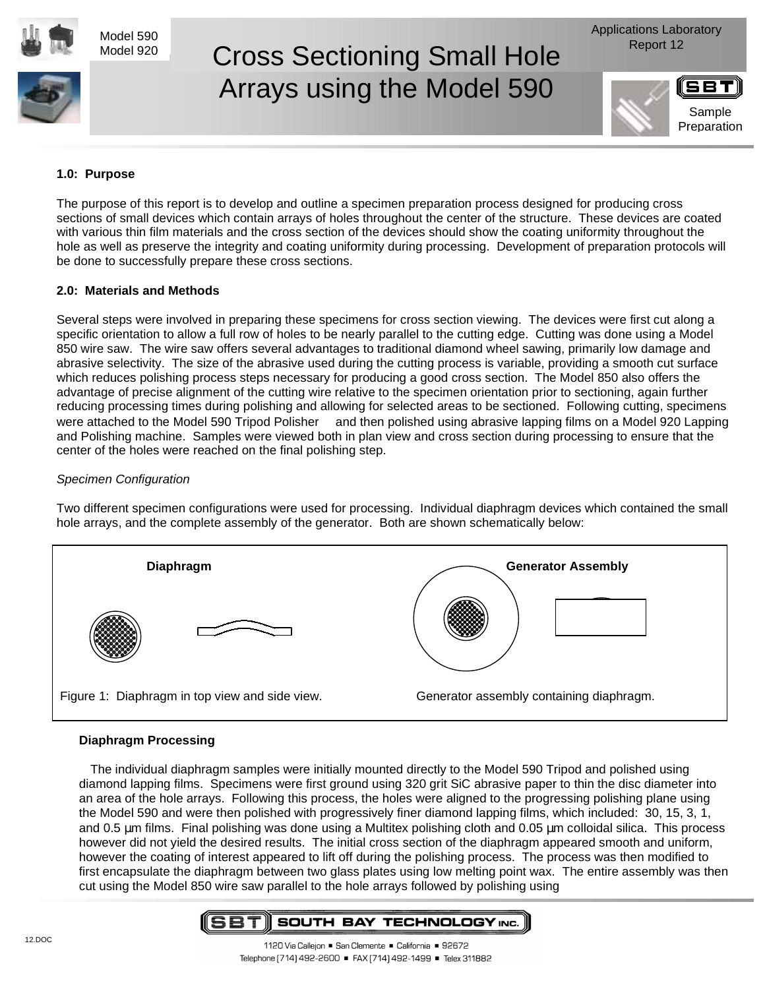Model 590 Model 920

# Cross Sectioning Small Hole Report 12 Arrays using the Model 590

Applications Laboratory



Sample

# **1.0: Purpose**

The purpose of this report is to develop and outline a specimen preparation process designed for producing cross sections of small devices which contain arrays of holes throughout the center of the structure. These devices are coated with various thin film materials and the cross section of the devices should show the coating uniformity throughout the hole as well as preserve the integrity and coating uniformity during processing. Development of preparation protocols will be done to successfully prepare these cross sections.

### **2.0: Materials and Methods**

Several steps were involved in preparing these specimens for cross section viewing. The devices were first cut along a specific orientation to allow a full row of holes to be nearly parallel to the cutting edge. Cutting was done using a Model 850 wire saw. The wire saw offers several advantages to traditional diamond wheel sawing, primarily low damage and abrasive selectivity. The size of the abrasive used during the cutting process is variable, providing a smooth cut surface which reduces polishing process steps necessary for producing a good cross section. The Model 850 also offers the advantage of precise alignment of the cutting wire relative to the specimen orientation prior to sectioning, again further reducing processing times during polishing and allowing for selected areas to be sectioned. Following cutting, specimens were attached to the Model 590 Tripod Polisher ™ and then polished using abrasive lapping films on a Model 920 Lapping and Polishing machine. Samples were viewed both in plan view and cross section during processing to ensure that the center of the holes were reached on the final polishing step.

### Specimen Configuration

Two different specimen configurations were used for processing. Individual diaphragm devices which contained the small hole arrays, and the complete assembly of the generator. Both are shown schematically below:



# **Diaphragm Processing**

The individual diaphragm samples were initially mounted directly to the Model 590 Tripod and polished using diamond lapping films. Specimens were first ground using 320 grit SiC abrasive paper to thin the disc diameter into an area of the hole arrays. Following this process, the holes were aligned to the progressing polishing plane using the Model 590 and were then polished with progressively finer diamond lapping films, which included: 30, 15, 3, 1, and 0.5 µm films. Final polishing was done using a Multitex polishing cloth and 0.05 µm colloidal silica. This process however did not yield the desired results. The initial cross section of the diaphragm appeared smooth and uniform, however the coating of interest appeared to lift off during the polishing process. The process was then modified to first encapsulate the diaphragm between two glass plates using low melting point wax. The entire assembly was then cut using the Model 850 wire saw parallel to the hole arrays followed by polishing using

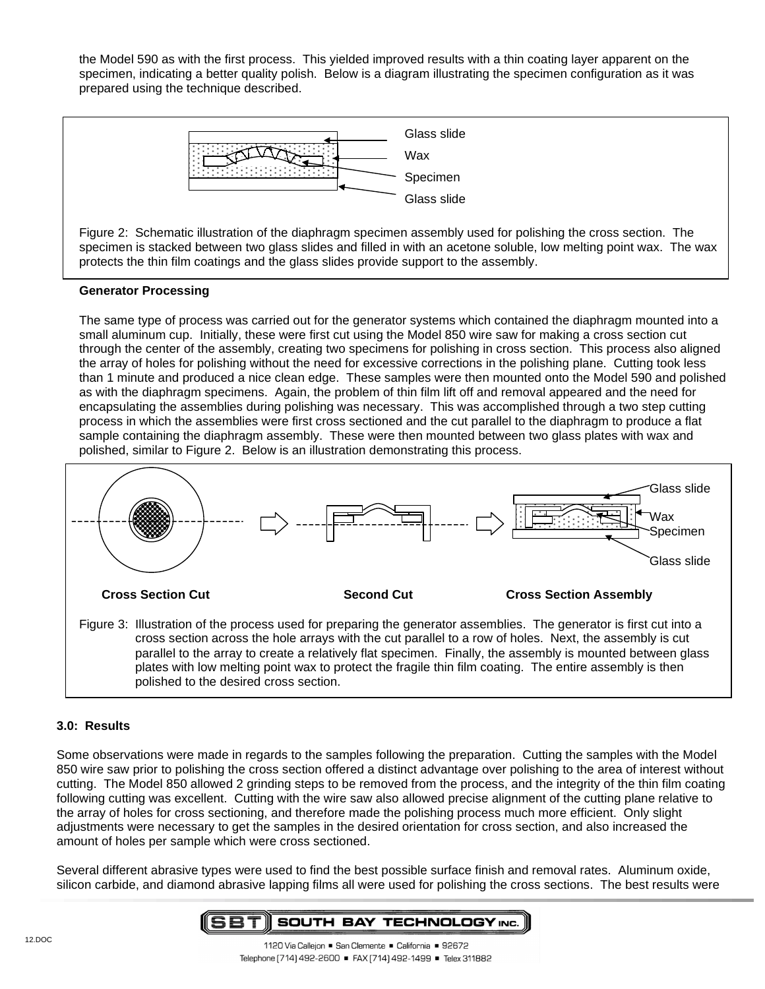the Model 590 as with the first process. This yielded improved results with a thin coating layer apparent on the specimen, indicating a better quality polish. Below is a diagram illustrating the specimen configuration as it was prepared using the technique described.



Figure 2: Schematic illustration of the diaphragm specimen assembly used for polishing the cross section. The specimen is stacked between two glass slides and filled in with an acetone soluble, low melting point wax. The wax protects the thin film coatings and the glass slides provide support to the assembly.

### **Generator Processing**

The same type of process was carried out for the generator systems which contained the diaphragm mounted into a small aluminum cup. Initially, these were first cut using the Model 850 wire saw for making a cross section cut through the center of the assembly, creating two specimens for polishing in cross section. This process also aligned the array of holes for polishing without the need for excessive corrections in the polishing plane. Cutting took less than 1 minute and produced a nice clean edge. These samples were then mounted onto the Model 590 and polished as with the diaphragm specimens. Again, the problem of thin film lift off and removal appeared and the need for encapsulating the assemblies during polishing was necessary. This was accomplished through a two step cutting process in which the assemblies were first cross sectioned and the cut parallel to the diaphragm to produce a flat sample containing the diaphragm assembly. These were then mounted between two glass plates with wax and polished, similar to Figure 2. Below is an illustration demonstrating this process.



#### **3.0: Results**

Some observations were made in regards to the samples following the preparation. Cutting the samples with the Model 850 wire saw prior to polishing the cross section offered a distinct advantage over polishing to the area of interest without cutting. The Model 850 allowed 2 grinding steps to be removed from the process, and the integrity of the thin film coating following cutting was excellent. Cutting with the wire saw also allowed precise alignment of the cutting plane relative to the array of holes for cross sectioning, and therefore made the polishing process much more efficient. Only slight adjustments were necessary to get the samples in the desired orientation for cross section, and also increased the amount of holes per sample which were cross sectioned.

Several different abrasive types were used to find the best possible surface finish and removal rates. Aluminum oxide, silicon carbide, and diamond abrasive lapping films all were used for polishing the cross sections. The best results were